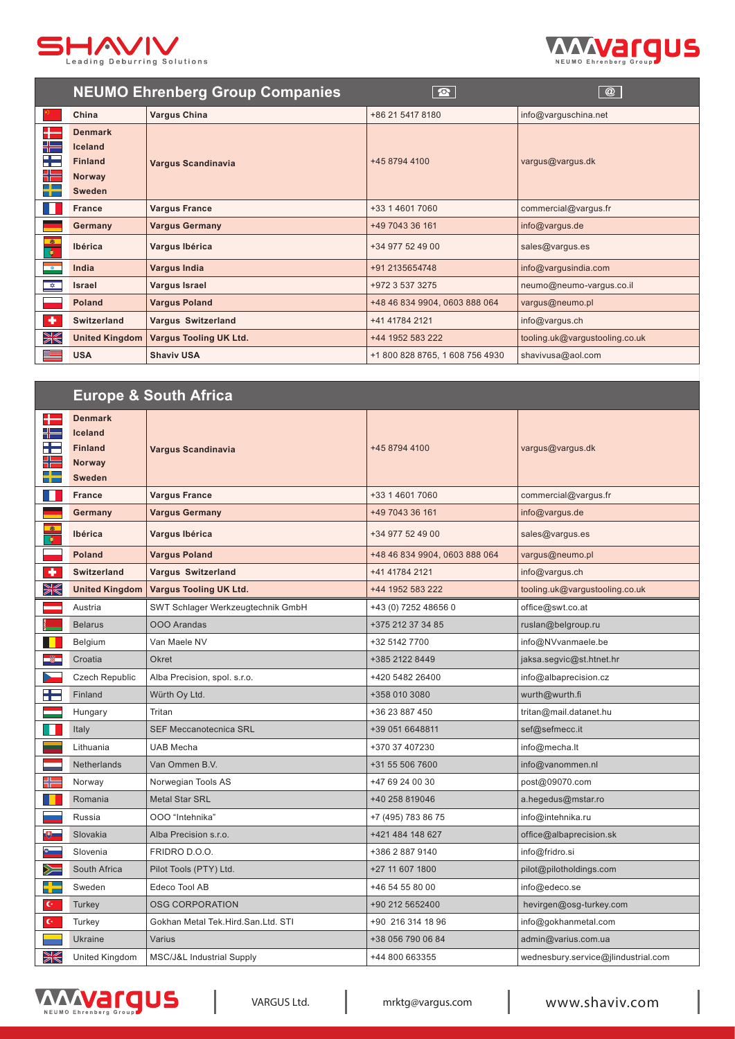



|                                   | <b>NEUMO Ehrenberg Group Companies</b> |                               | $\boxed{\mathbf{C}}$            | $\overline{\omega}$            |
|-----------------------------------|----------------------------------------|-------------------------------|---------------------------------|--------------------------------|
|                                   | China                                  | <b>Vargus China</b>           | +86 21 5417 8180                | info@varguschina.net           |
| ╄═                                | <b>Denmark</b>                         |                               |                                 |                                |
| ╉═                                | Iceland                                | <b>Vargus Scandinavia</b>     | +45 8794 4100                   | vargus@vargus.dk               |
| H                                 | <b>Finland</b>                         |                               |                                 |                                |
| ╬═                                | Norway                                 |                               |                                 |                                |
| ┽╾                                | <b>Sweden</b>                          |                               |                                 |                                |
| H                                 | <b>France</b>                          | <b>Vargus France</b>          | +33 1 4601 7060                 | commercial@vargus.fr           |
|                                   | Germany                                | <b>Vargus Germany</b>         | +49 7043 36 161                 | info@vargus.de                 |
| $\bullet$<br>$\overline{\bullet}$ | Ibérica                                | Vargus Ibérica                | +34 977 52 49 00                | sales@vargus.es                |
| $-\circ$                          | India                                  | <b>Vargus India</b>           | +91 2135654748                  | info@vargusindia.com           |
| $\frac{1}{\sqrt{2}}$              | <b>Israel</b>                          | Vargus Israel                 | +972 3 537 3275                 | neumo@neumo-vargus.co.il       |
|                                   | Poland                                 | <b>Vargus Poland</b>          | +48 46 834 9904, 0603 888 064   | vargus@neumo.pl                |
| ٠                                 | Switzerland                            | <b>Vargus Switzerland</b>     | +41 41784 2121                  | info@vargus.ch                 |
| W                                 | <b>United Kingdom</b>                  | <b>Vargus Tooling UK Ltd.</b> | +44 1952 583 222                | tooling.uk@vargustooling.co.uk |
| $\equiv$                          | <b>USA</b>                             | <b>Shaviv USA</b>             | +1 800 828 8765, 1 608 756 4930 | shavivusa@aol.com              |

## **Europe & South Africa**

| ╋                                                                                                                                                                                                                                                                                                                                                                                                                                   | <b>Denmark</b>        |                                      |                               |                                     |
|-------------------------------------------------------------------------------------------------------------------------------------------------------------------------------------------------------------------------------------------------------------------------------------------------------------------------------------------------------------------------------------------------------------------------------------|-----------------------|--------------------------------------|-------------------------------|-------------------------------------|
| ╉═                                                                                                                                                                                                                                                                                                                                                                                                                                  | <b>Iceland</b>        |                                      |                               |                                     |
| ÷                                                                                                                                                                                                                                                                                                                                                                                                                                   | <b>Finland</b>        | <b>Vargus Scandinavia</b>            | +45 8794 4100                 | vargus@vargus.dk                    |
| ╬                                                                                                                                                                                                                                                                                                                                                                                                                                   | <b>Norway</b>         |                                      |                               |                                     |
| ╉                                                                                                                                                                                                                                                                                                                                                                                                                                   | <b>Sweden</b>         |                                      |                               |                                     |
| $\blacksquare$                                                                                                                                                                                                                                                                                                                                                                                                                      | <b>France</b>         | <b>Vargus France</b>                 | +33 1 4601 7060               | commercial@vargus.fr                |
|                                                                                                                                                                                                                                                                                                                                                                                                                                     | Germany               | <b>Vargus Germany</b>                | +49 7043 36 161               | info@vargus.de                      |
| $\frac{1}{\overline{a}}$                                                                                                                                                                                                                                                                                                                                                                                                            | Ibérica               | Vargus Ibérica                       | +34 977 52 49 00              | sales@vargus.es                     |
|                                                                                                                                                                                                                                                                                                                                                                                                                                     | <b>Poland</b>         | <b>Vargus Poland</b>                 | +48 46 834 9904, 0603 888 064 | vargus@neumo.pl                     |
| ٠                                                                                                                                                                                                                                                                                                                                                                                                                                   | <b>Switzerland</b>    | <b>Vargus Switzerland</b>            | +41 41784 2121                | info@vargus.ch                      |
| W                                                                                                                                                                                                                                                                                                                                                                                                                                   | <b>United Kingdom</b> | <b>Vargus Tooling UK Ltd.</b>        | +44 1952 583 222              | tooling.uk@vargustooling.co.uk      |
|                                                                                                                                                                                                                                                                                                                                                                                                                                     | Austria               | SWT Schlager Werkzeugtechnik GmbH    | +43 (0) 7252 48656 0          | office@swt.co.at                    |
|                                                                                                                                                                                                                                                                                                                                                                                                                                     | <b>Belarus</b>        | <b>OOO</b> Arandas                   | +375 212 37 34 85             | ruslan@belgroup.ru                  |
|                                                                                                                                                                                                                                                                                                                                                                                                                                     | Belgium               | Van Maele NV                         | +32 5142 7700                 | info@NVvanmaele.be                  |
|                                                                                                                                                                                                                                                                                                                                                                                                                                     | Croatia               | Okret                                | +385 2122 8449                | jaksa.segvic@st.htnet.hr            |
|                                                                                                                                                                                                                                                                                                                                                                                                                                     | Czech Republic        | Alba Precision, spol. s.r.o.         | +420 5482 26400               | info@albaprecision.cz               |
| ٢Ē                                                                                                                                                                                                                                                                                                                                                                                                                                  | Finland               | Würth Oy Ltd.                        | +358 010 3080                 | wurth@wurth.fi                      |
|                                                                                                                                                                                                                                                                                                                                                                                                                                     | Hungary               | Tritan                               | +36 23 887 450                | tritan@mail.datanet.hu              |
| ٦                                                                                                                                                                                                                                                                                                                                                                                                                                   | Italy                 | <b>SEF Meccanotecnica SRL</b>        | +39 051 6648811               | sef@sefmecc.it                      |
| ═                                                                                                                                                                                                                                                                                                                                                                                                                                   | Lithuania             | UAB Mecha                            | +370 37 407230                | info@mecha.lt                       |
|                                                                                                                                                                                                                                                                                                                                                                                                                                     | Netherlands           | Van Ommen B.V.                       | +31 55 506 7600               | info@vanommen.nl                    |
| ╬                                                                                                                                                                                                                                                                                                                                                                                                                                   | Norway                | Norwegian Tools AS                   | +47 69 24 00 30               | post@09070.com                      |
|                                                                                                                                                                                                                                                                                                                                                                                                                                     | Romania               | <b>Metal Star SRL</b>                | +40 258 819046                | a.hegedus@mstar.ro                  |
|                                                                                                                                                                                                                                                                                                                                                                                                                                     | Russia                | OOO "Intehnika"                      | +7 (495) 783 86 75            | info@intehnika.ru                   |
| $\bullet$                                                                                                                                                                                                                                                                                                                                                                                                                           | Slovakia              | Alba Precision s.r.o.                | +421 484 148 627              | office@albaprecision.sk             |
|                                                                                                                                                                                                                                                                                                                                                                                                                                     | Slovenia              | FRIDRO D.O.O.                        | +386 2 887 9140               | info@fridro.si                      |
| ≽=                                                                                                                                                                                                                                                                                                                                                                                                                                  | South Africa          | Pilot Tools (PTY) Ltd.               | +27 11 607 1800               | pilot@pilotholdings.com             |
| $\frac{1}{\ln\left  \frac{1}{\ln\left( \frac{1}{\ln\left( \frac{1}{\ln\left( \frac{1}{\ln\left( \frac{1}{\ln\left( \frac{1}{\ln\left( \frac{1}{\ln\left( \frac{1}{\ln\left( \frac{1}{\ln\left( \frac{1}{\ln\left( \frac{1}{\ln\left( \frac{1}{\ln\left( \frac{1}{\ln\left( \frac{1}{\ln\left( \frac{1}{\ln\left( \frac{1}{\ln\left( \frac{1}{\ln\left( \frac{1}{\ln\left( \frac{1}{\ln\left( \frac{1}{\ln\left( \frac{1}{\ln\left($ | Sweden                | Edeco Tool AB                        | +46 54 55 80 00               | info@edeco.se                       |
| $\mathbf{C}^{\perp}$                                                                                                                                                                                                                                                                                                                                                                                                                | Turkey                | <b>OSG CORPORATION</b>               | +90 212 5652400               | hevirgen@osg-turkey.com             |
| $\mathbf{C}^{\perp}$                                                                                                                                                                                                                                                                                                                                                                                                                | Turkey                | Gokhan Metal Tek.Hird.San.Ltd. STI   | +90 216 314 18 96             | info@gokhanmetal.com                |
|                                                                                                                                                                                                                                                                                                                                                                                                                                     | <b>Ukraine</b>        | Varius                               | +38 056 790 06 84             | admin@varius.com.ua                 |
| ≫≪                                                                                                                                                                                                                                                                                                                                                                                                                                  | United Kingdom        | <b>MSC/J&amp;L Industrial Supply</b> | +44 800 663355                | wednesbury.service@jlindustrial.com |